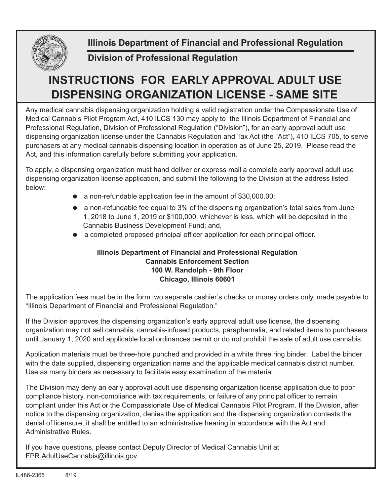

**Illinois Department of Financial and Professional Regulation**

## **Division of Professional Regulation**

## **INSTRUCTIONS FOR EARLY APPROVAL ADULT USE DISPENSING ORGANIZATION LICENSE - SAME SITE**

Any medical cannabis dispensing organization holding a valid registration under the Compassionate Use of Medical Cannabis Pilot Program Act, 410 ILCS 130 may apply to the Illinois Department of Financial and Professional Regulation, Division of Professional Regulation ("Division"), for an early approval adult use dispensing organization license under the Cannabis Regulation and Tax Act (the "Act"), 410 ILCS 705, to serve purchasers at any medical cannabis dispensing location in operation as of June 25, 2019. Please read the Act, and this information carefully before submitting your application.

To apply, a dispensing organization must hand deliver or express mail a complete early approval adult use dispensing organization license application, and submit the following to the Division at the address listed below:

- $\bullet$  a non-refundable application fee in the amount of \$30,000.00;
- $\bullet$  a non-refundable fee equal to 3% of the dispensing organization's total sales from June 1, 2018 to June 1, 2019 or \$100,000, whichever is less, which will be deposited in the Cannabis Business Development Fund; and,
- a completed proposed principal officer application for each principal officer.

## **Illinois Department of Financial and Professional Regulation Cannabis Enforcement Section 100 W. Randolph - 9th Floor Chicago, Illinois 60601**

The application fees must be in the form two separate cashier's checks or money orders only, made payable to "Illinois Department of Financial and Professional Regulation."

If the Division approves the dispensing organization's early approval adult use license, the dispensing organization may not sell cannabis, cannabis-infused products, paraphernalia, and related items to purchasers until January 1, 2020 and applicable local ordinances permit or do not prohibit the sale of adult use cannabis.

Application materials must be three-hole punched and provided in a white three ring binder. Label the binder with the date supplied, dispensing organization name and the applicable medical cannabis district number. Use as many binders as necessary to facilitate easy examination of the material.

The Division may deny an early approval adult use dispensing organization license application due to poor compliance history, non-compliance with tax requirements, or failure of any principal officer to remain compliant under this Act or the Compassionate Use of Medical Cannabis Pilot Program. If the Division, after notice to the dispensing organization, denies the application and the dispensing organization contests the denial of licensure, it shall be entitled to an administrative hearing in accordance with the Act and Administrative Rules.

If you have questions, please contact Deputy Director of Medical Cannabis Unit at FPR.AdulUseCannabis@illinois.gov.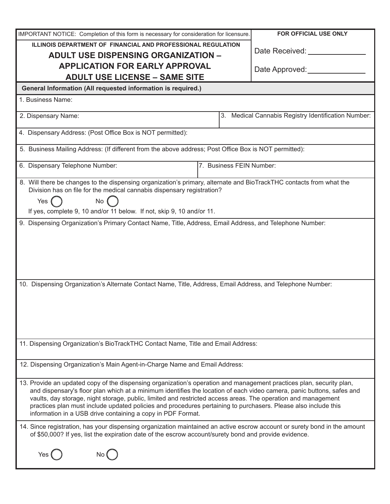| IMPORTANT NOTICE: Completion of this form is necessary for consideration for licensure.                                                                                                                                                                                                                                                                                                                                                                                                                                                         |                                                        | FOR OFFICIAL USE ONLY    |
|-------------------------------------------------------------------------------------------------------------------------------------------------------------------------------------------------------------------------------------------------------------------------------------------------------------------------------------------------------------------------------------------------------------------------------------------------------------------------------------------------------------------------------------------------|--------------------------------------------------------|--------------------------|
| ILLINOIS DEPARTMENT OF FINANCIAL AND PROFESSIONAL REGULATION                                                                                                                                                                                                                                                                                                                                                                                                                                                                                    |                                                        |                          |
| <b>ADULT USE DISPENSING ORGANIZATION -</b>                                                                                                                                                                                                                                                                                                                                                                                                                                                                                                      |                                                        | Date Received: _________ |
| <b>APPLICATION FOR EARLY APPROVAL</b>                                                                                                                                                                                                                                                                                                                                                                                                                                                                                                           |                                                        | Date Approved:           |
| <b>ADULT USE LICENSE - SAME SITE</b>                                                                                                                                                                                                                                                                                                                                                                                                                                                                                                            |                                                        |                          |
| General Information (All requested information is required.)                                                                                                                                                                                                                                                                                                                                                                                                                                                                                    |                                                        |                          |
| 1. Business Name:                                                                                                                                                                                                                                                                                                                                                                                                                                                                                                                               |                                                        |                          |
| 2. Dispensary Name:                                                                                                                                                                                                                                                                                                                                                                                                                                                                                                                             | Medical Cannabis Registry Identification Number:<br>3. |                          |
| 4. Dispensary Address: (Post Office Box is NOT permitted):                                                                                                                                                                                                                                                                                                                                                                                                                                                                                      |                                                        |                          |
| 5. Business Mailing Address: (If different from the above address; Post Office Box is NOT permitted):                                                                                                                                                                                                                                                                                                                                                                                                                                           |                                                        |                          |
| 7. Business FEIN Number:<br>6. Dispensary Telephone Number:                                                                                                                                                                                                                                                                                                                                                                                                                                                                                     |                                                        |                          |
| 8. Will there be changes to the dispensing organization's primary, alternate and BioTrackTHC contacts from what the<br>Division has on file for the medical cannabis dispensary registration?<br>Yes (<br>No<br>If yes, complete 9, 10 and/or 11 below. If not, skip 9, 10 and/or 11.                                                                                                                                                                                                                                                           |                                                        |                          |
| 9. Dispensing Organization's Primary Contact Name, Title, Address, Email Address, and Telephone Number:                                                                                                                                                                                                                                                                                                                                                                                                                                         |                                                        |                          |
| 10. Dispensing Organization's Alternate Contact Name, Title, Address, Email Address, and Telephone Number:                                                                                                                                                                                                                                                                                                                                                                                                                                      |                                                        |                          |
| 11. Dispensing Organization's BioTrackTHC Contact Name, Title and Email Address:                                                                                                                                                                                                                                                                                                                                                                                                                                                                |                                                        |                          |
| 12. Dispensing Organization's Main Agent-in-Charge Name and Email Address:                                                                                                                                                                                                                                                                                                                                                                                                                                                                      |                                                        |                          |
| 13. Provide an updated copy of the dispensing organization's operation and management practices plan, security plan,<br>and dispensary's floor plan which at a minimum identifies the location of each video camera, panic buttons, safes and<br>vaults, day storage, night storage, public, limited and restricted access areas. The operation and management<br>practices plan must include updated policies and procedures pertaining to purchasers. Please also include this<br>information in a USB drive containing a copy in PDF Format. |                                                        |                          |
| 14. Since registration, has your dispensing organization maintained an active escrow account or surety bond in the amount<br>of \$50,000? If yes, list the expiration date of the escrow account/surety bond and provide evidence.                                                                                                                                                                                                                                                                                                              |                                                        |                          |
|                                                                                                                                                                                                                                                                                                                                                                                                                                                                                                                                                 |                                                        |                          |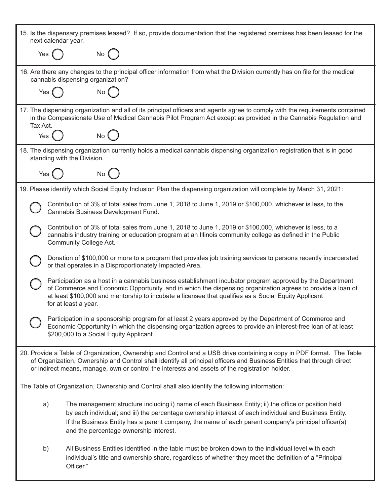| 15. Is the dispensary premises leased? If so, provide documentation that the registered premises has been leased for the<br>next calendar year.                                                                                                                                                                                                                      |  |  |
|----------------------------------------------------------------------------------------------------------------------------------------------------------------------------------------------------------------------------------------------------------------------------------------------------------------------------------------------------------------------|--|--|
| $No$ $($<br>Yes                                                                                                                                                                                                                                                                                                                                                      |  |  |
| 16. Are there any changes to the principal officer information from what the Division currently has on file for the medical<br>cannabis dispensing organization?                                                                                                                                                                                                     |  |  |
| Yes<br>No                                                                                                                                                                                                                                                                                                                                                            |  |  |
| 17. The dispensing organization and all of its principal officers and agents agree to comply with the requirements contained<br>in the Compassionate Use of Medical Cannabis Pilot Program Act except as provided in the Cannabis Regulation and<br>Tax Act.                                                                                                         |  |  |
| No<br>Yes                                                                                                                                                                                                                                                                                                                                                            |  |  |
| 18. The dispensing organization currently holds a medical cannabis dispensing organization registration that is in good<br>standing with the Division.                                                                                                                                                                                                               |  |  |
| Yes<br><b>No</b>                                                                                                                                                                                                                                                                                                                                                     |  |  |
| 19. Please identify which Social Equity Inclusion Plan the dispensing organization will complete by March 31, 2021:                                                                                                                                                                                                                                                  |  |  |
| Contribution of 3% of total sales from June 1, 2018 to June 1, 2019 or \$100,000, whichever is less, to the<br>Cannabis Business Development Fund.                                                                                                                                                                                                                   |  |  |
| Contribution of 3% of total sales from June 1, 2018 to June 1, 2019 or \$100,000, whichever is less, to a<br>cannabis industry training or education program at an Illinois community college as defined in the Public<br>Community College Act.                                                                                                                     |  |  |
| Donation of \$100,000 or more to a program that provides job training services to persons recently incarcerated<br>or that operates in a Disproportionately Impacted Area.                                                                                                                                                                                           |  |  |
| Participation as a host in a cannabis business establishment incubator program approved by the Department<br>of Commerce and Economic Opportunity, and in which the dispensing organization agrees to provide a loan of<br>at least \$100,000 and mentorship to incubate a licensee that qualifies as a Social Equity Applicant<br>for at least a year.              |  |  |
| Participation in a sponsorship program for at least 2 years approved by the Department of Commerce and<br>Economic Opportunity in which the dispensing organization agrees to provide an interest-free loan of at least<br>\$200,000 to a Social Equity Applicant.                                                                                                   |  |  |
| 20. Provide a Table of Organization, Ownership and Control and a USB drive containing a copy in PDF format. The Table<br>of Organization, Ownership and Control shall identify all principal officers and Business Entities that through direct<br>or indirect means, manage, own or control the interests and assets of the registration holder.                    |  |  |
| The Table of Organization, Ownership and Control shall also identify the following information:                                                                                                                                                                                                                                                                      |  |  |
| The management structure including i) name of each Business Entity; ii) the office or position held<br>a)<br>by each individual; and iii) the percentage ownership interest of each individual and Business Entity.<br>If the Business Entity has a parent company, the name of each parent company's principal officer(s)<br>and the percentage ownership interest. |  |  |
| All Business Entities identified in the table must be broken down to the individual level with each<br>b)<br>individual's title and ownership share, regardless of whether they meet the definition of a "Principal"<br>Officer."                                                                                                                                    |  |  |